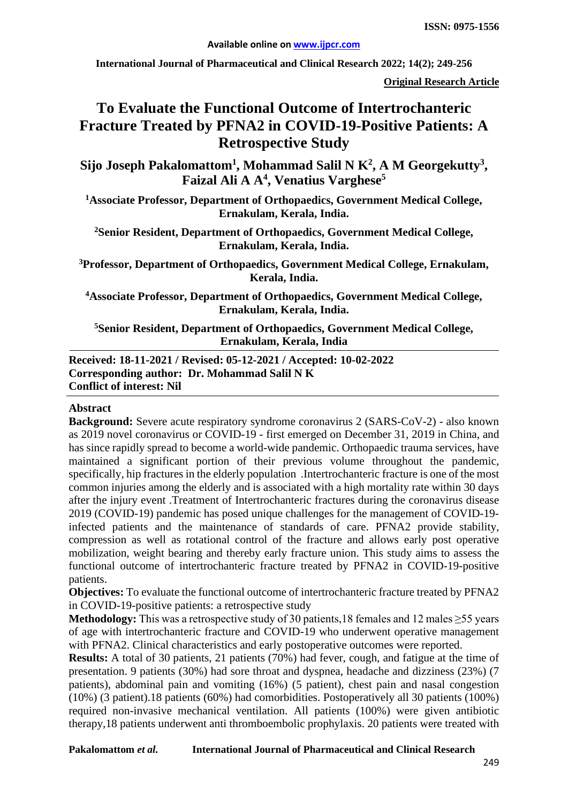**International Journal of Pharmaceutical and Clinical Research 2022; 14(2); 249-256**

**Original Research Article**

# **To Evaluate the Functional Outcome of Intertrochanteric Fracture Treated by PFNA2 in COVID-19-Positive Patients: A Retrospective Study**

 $\mathbf{Sij}$ o Joseph Pakalomattom<sup>1</sup>, Mohammad Salil N  $\mathbf{K}^2$ , A M Georgekutty<sup>3</sup>, **Faizal Ali A A4 , Venatius Varghese5**

**1Associate Professor, Department of Orthopaedics, Government Medical College, Ernakulam, Kerala, India.**

**2 Senior Resident, Department of Orthopaedics, Government Medical College, Ernakulam, Kerala, India.**

**3Professor, Department of Orthopaedics, Government Medical College, Ernakulam, Kerala, India.**

**4 Associate Professor, Department of Orthopaedics, Government Medical College, Ernakulam, Kerala, India.**

**5Senior Resident, Department of Orthopaedics, Government Medical College, Ernakulam, Kerala, India**

**Received: 18-11-2021 / Revised: 05-12-2021 / Accepted: 10-02-2022 Corresponding author: Dr. Mohammad Salil N K Conflict of interest: Nil**

#### **Abstract**

**Background:** Severe acute respiratory syndrome coronavirus 2 (SARS-CoV-2) - also known as 2019 novel coronavirus or COVID-19 - first emerged on December 31, 2019 in China, and has since rapidly spread to become a world-wide pandemic. Orthopaedic trauma services, have maintained a significant portion of their previous volume throughout the pandemic, specifically, hip fractures in the elderly population .Intertrochanteric fracture is one of the most common injuries among the elderly and is associated with a high mortality rate within 30 days after the injury event .Treatment of Intertrochanteric fractures during the coronavirus disease 2019 (COVID-19) pandemic has posed unique challenges for the management of COVID-19 infected patients and the maintenance of standards of care. PFNA2 provide stability, compression as well as rotational control of the fracture and allows early post operative mobilization, weight bearing and thereby early fracture union. This study aims to assess the functional outcome of intertrochanteric fracture treated by PFNA2 in COVID-19-positive patients.

**Objectives:** To evaluate the functional outcome of intertrochanteric fracture treated by PFNA2 in COVID-19-positive patients: a retrospective study

**Methodology:** This was a retrospective study of 30 patients,18 females and 12 males ≥55 years of age with intertrochanteric fracture and COVID-19 who underwent operative management with PFNA2. Clinical characteristics and early postoperative outcomes were reported.

**Results:** A total of 30 patients, 21 patients (70%) had fever, cough, and fatigue at the time of presentation. 9 patients (30%) had sore throat and dyspnea, headache and dizziness (23%) (7 patients), abdominal pain and vomiting (16%) (5 patient), chest pain and nasal congestion (10%) (3 patient).18 patients (60%) had comorbidities. Postoperatively all 30 patients (100%) required non-invasive mechanical ventilation. All patients (100%) were given antibiotic therapy,18 patients underwent anti thromboembolic prophylaxis. 20 patients were treated with

**Pakalomattom** *et al.* **International Journal of Pharmaceutical and Clinical Research**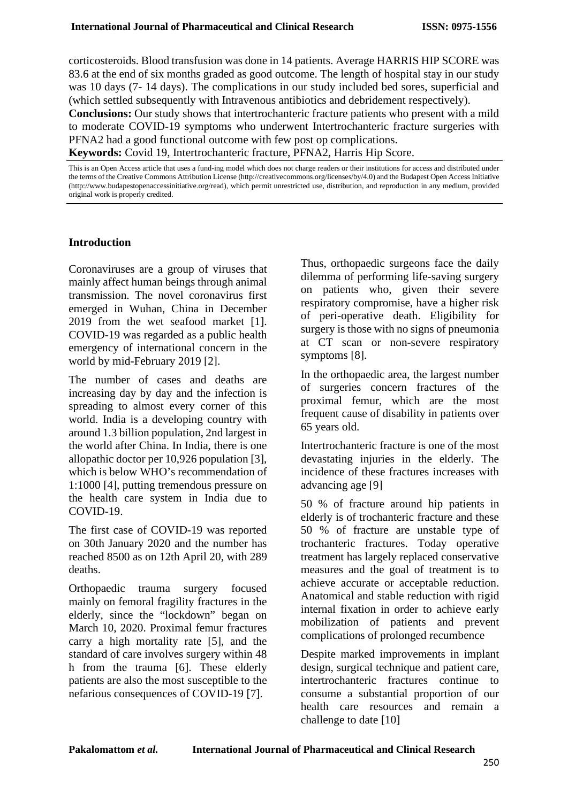corticosteroids. Blood transfusion was done in 14 patients. Average HARRIS HIP SCORE was 83.6 at the end of six months graded as good outcome. The length of hospital stay in our study was 10 days (7- 14 days). The complications in our study included bed sores, superficial and (which settled subsequently with Intravenous antibiotics and debridement respectively).

**Conclusions:** Our study shows that intertrochanteric fracture patients who present with a mild to moderate COVID-19 symptoms who underwent Intertrochanteric fracture surgeries with PFNA2 had a good functional outcome with few post op complications.

**Keywords:** Covid 19, Intertrochanteric fracture, PFNA2, Harris Hip Score.

This is an Open Access article that uses a fund-ing model which does not charge readers or their institutions for access and distributed under the terms of the Creative Commons Attribution License (http://creativecommons.org/licenses/by/4.0) and the Budapest Open Access Initiative (http://www.budapestopenaccessinitiative.org/read), which permit unrestricted use, distribution, and reproduction in any medium, provided original work is properly credited.

#### **Introduction**

Coronaviruses are a group of viruses that mainly affect human beings through animal transmission. The novel coronavirus first emerged in Wuhan, China in December 2019 from the wet seafood market [1]. COVID-19 was regarded as a public health emergency of international concern in the world by mid-February 2019 [2].

The number of cases and deaths are increasing day by day and the infection is spreading to almost every corner of this world. India is a developing country with around 1.3 billion population, 2nd largest in the world after China. In India, there is one allopathic doctor per 10,926 population [3], which is below WHO's recommendation of 1:1000 [4], putting tremendous pressure on the health care system in India due to COVID-19.

The first case of COVID-19 was reported on 30th January 2020 and the number has reached 8500 as on 12th April 20, with 289 deaths.

Orthopaedic trauma surgery focused mainly on femoral fragility fractures in the elderly, since the "lockdown" began on March 10, 2020. Proximal femur fractures carry a high mortality rate [5], and the standard of care involves surgery within 48 h from the trauma [6]. These elderly patients are also the most susceptible to the nefarious consequences of COVID-19 [7].

Thus, orthopaedic surgeons face the daily dilemma of performing life-saving surgery on patients who, given their severe respiratory compromise, have a higher risk of peri-operative death. Eligibility for surgery is those with no signs of pneumonia at CT scan or non-severe respiratory symptoms [8].

In the orthopaedic area, the largest number of surgeries concern fractures of the proximal femur, which are the most frequent cause of disability in patients over 65 years old.

Intertrochanteric fracture is one of the most devastating injuries in the elderly. The incidence of these fractures increases with advancing age [9]

50 % of fracture around hip patients in elderly is of trochanteric fracture and these 50 % of fracture are unstable type of trochanteric fractures. Today operative treatment has largely replaced conservative measures and the goal of treatment is to achieve accurate or acceptable reduction. Anatomical and stable reduction with rigid internal fixation in order to achieve early mobilization of patients and prevent complications of prolonged recumbence

Despite marked improvements in implant design, surgical technique and patient care, intertrochanteric fractures continue to consume a substantial proportion of our health care resources and remain a challenge to date [10]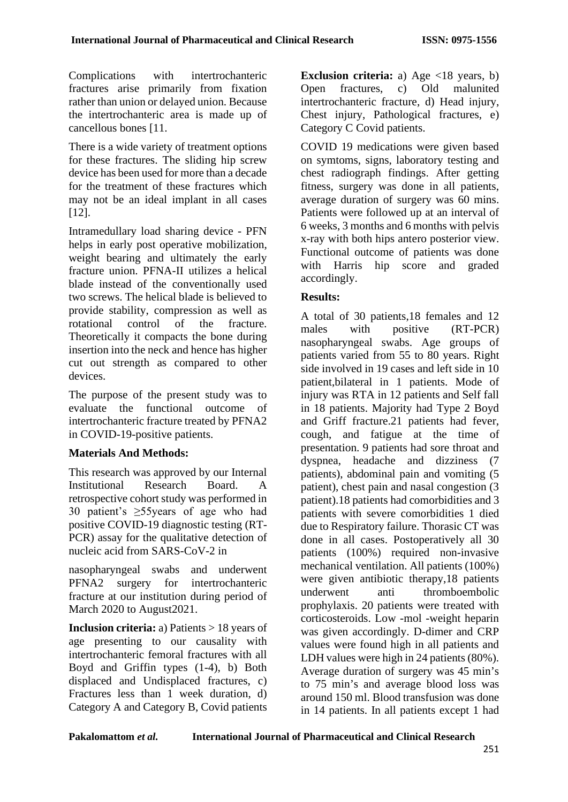Complications with intertrochanteric fractures arise primarily from fixation rather than union or delayed union. Because the intertrochanteric area is made up of cancellous bones [11.

There is a wide variety of treatment options for these fractures. The sliding hip screw device has been used for more than a decade for the treatment of these fractures which may not be an ideal implant in all cases [12].

Intramedullary load sharing device - PFN helps in early post operative mobilization, weight bearing and ultimately the early fracture union. PFNA-II utilizes a helical blade instead of the conventionally used two screws. The helical blade is believed to provide stability, compression as well as rotational control of the fracture. Theoretically it compacts the bone during insertion into the neck and hence has higher cut out strength as compared to other devices.

The purpose of the present study was to evaluate the functional outcome of intertrochanteric fracture treated by PFNA2 in COVID-19-positive patients.

## **Materials And Methods:**

This research was approved by our Internal Institutional Research Board. A retrospective cohort study was performed in 30 patient's ≥55years of age who had positive COVID-19 diagnostic testing (RT-PCR) assay for the qualitative detection of nucleic acid from SARS-CoV-2 in

nasopharyngeal swabs and underwent PFNA2 surgery for intertrochanteric fracture at our institution during period of March 2020 to August2021.

**Inclusion criteria:** a) Patients > 18 years of age presenting to our causality with intertrochanteric femoral fractures with all Boyd and Griffin types (1-4), b) Both displaced and Undisplaced fractures, c) Fractures less than 1 week duration, d) Category A and Category B, Covid patients **Exclusion criteria:** a) Age <18 years, b)<br>Open fractures, c) Old malunited Open fractures, c) Old malunited intertrochanteric fracture, d) Head injury, Chest injury, Pathological fractures, e) Category C Covid patients.

COVID 19 medications were given based on symtoms, signs, laboratory testing and chest radiograph findings. After getting fitness, surgery was done in all patients, average duration of surgery was 60 mins. Patients were followed up at an interval of 6 weeks, 3 months and 6 months with pelvis x-ray with both hips antero posterior view. Functional outcome of patients was done with Harris hip score and graded accordingly.

#### **Results:**

A total of 30 patients,18 females and 12 males with positive (RT-PCR) nasopharyngeal swabs. Age groups of patients varied from 55 to 80 years. Right side involved in 19 cases and left side in 10 patient,bilateral in 1 patients. Mode of injury was RTA in 12 patients and Self fall in 18 patients. Majority had Type 2 Boyd and Griff fracture.21 patients had fever, cough, and fatigue at the time of presentation. 9 patients had sore throat and dyspnea, headache and dizziness (7 patients), abdominal pain and vomiting (5 patient), chest pain and nasal congestion (3 patient).18 patients had comorbidities and 3 patients with severe comorbidities 1 died due to Respiratory failure. Thorasic CT was done in all cases. Postoperatively all 30 patients (100%) required non-invasive mechanical ventilation. All patients (100%) were given antibiotic therapy,18 patients underwent anti thromboembolic prophylaxis. 20 patients were treated with corticosteroids. Low -mol -weight heparin was given accordingly. D-dimer and CRP values were found high in all patients and LDH values were high in 24 patients (80%). Average duration of surgery was 45 min's to 75 min's and average blood loss was around 150 ml. Blood transfusion was done in 14 patients. In all patients except 1 had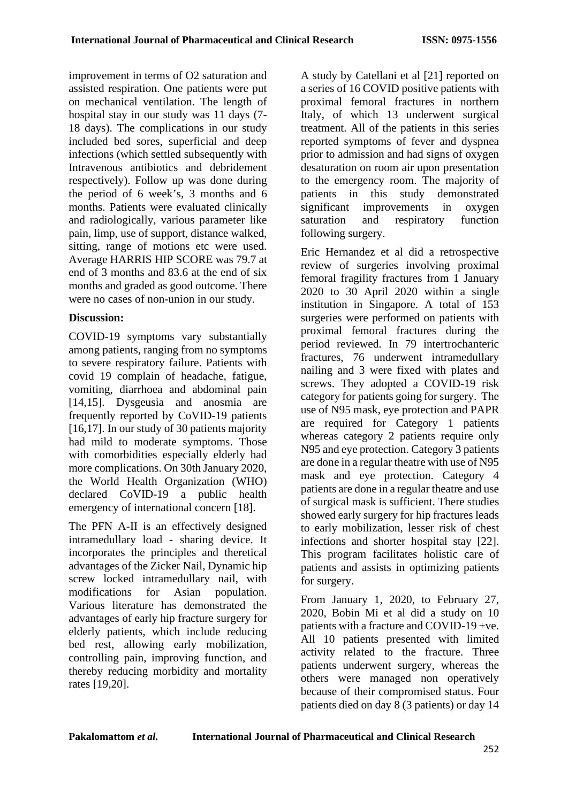improvement in terms of O2 saturation and assisted respiration. One patients were put on mechanical ventilation. The length of hospital stay in our study was 11 days (7- 18 days). The complications in our study included bed sores, superficial and deep infections (which settled subsequently with Intravenous antibiotics and debridement respectively). Follow up was done during the period of 6 week's, 3 months and 6 months. Patients were evaluated clinically and radiologically, various parameter like pain, limp, use of support, distance walked, sitting, range of motions etc were used. Average HARRIS HIP SCORE was 79.7 at end of 3 months and 83.6 at the end of six months and graded as good outcome. There were no cases of non-union in our study.

# **Discussion:**

COVID-19 symptoms vary substantially among patients, ranging from no symptoms to severe respiratory failure. Patients with covid 19 complain of headache, fatigue, vomiting, diarrhoea and abdominal pain [14,15]. Dysgeusia and anosmia are frequently reported by CoVID-19 patients [16,17]. In our study of 30 patients majority had mild to moderate symptoms. Those with comorbidities especially elderly had more complications. On 30th January 2020, the World Health Organization (WHO) declared CoVID-19 a public health emergency of international concern [18].

The PFN A-II is an effectively designed intramedullary load - sharing device. It incorporates the principles and theretical advantages of the Zicker Nail, Dynamic hip screw locked intramedullary nail, with modifications for Asian population. Various literature has demonstrated the advantages of early hip fracture surgery for elderly patients, which include reducing bed rest, allowing early mobilization, controlling pain, improving function, and thereby reducing morbidity and mortality rates [19,20].

A study by Catellani et al [21] reported on a series of 16 COVID positive patients with proximal femoral fractures in northern Italy, of which 13 underwent surgical treatment. All of the patients in this series reported symptoms of fever and dyspnea prior to admission and had signs of oxygen desaturation on room air upon presentation to the emergency room. The majority of patients in this study demonstrated significant improvements in oxygen saturation and respiratory function following surgery.

Eric Hernandez et al did a retrospective review of surgeries involving proximal femoral fragility fractures from 1 January 2020 to 30 April 2020 within a single institution in Singapore. A total of 153 surgeries were performed on patients with proximal femoral fractures during the period reviewed. In 79 intertrochanteric fractures, 76 underwent intramedullary nailing and 3 were fixed with plates and screws. They adopted a COVID-19 risk category for patients going for surgery. The use of N95 mask, eye protection and PAPR are required for Category 1 patients whereas category 2 patients require only N95 and eye protection. Category 3 patients are done in a regular theatre with use of N95 mask and eye protection. Category 4 patients are done in a regular theatre and use of surgical mask is sufficient. There studies showed early surgery for hip fractures leads to early mobilization, lesser risk of chest infections and shorter hospital stay [22]. This program facilitates holistic care of patients and assists in optimizing patients for surgery.

From January 1, 2020, to February 27, 2020, Bobin Mi et al did a study on 10 patients with a fracture and COVID-19 +ve. All 10 patients presented with limited activity related to the fracture. Three patients underwent surgery, whereas the others were managed non operatively because of their compromised status. Four patients died on day 8 (3 patients) or day 14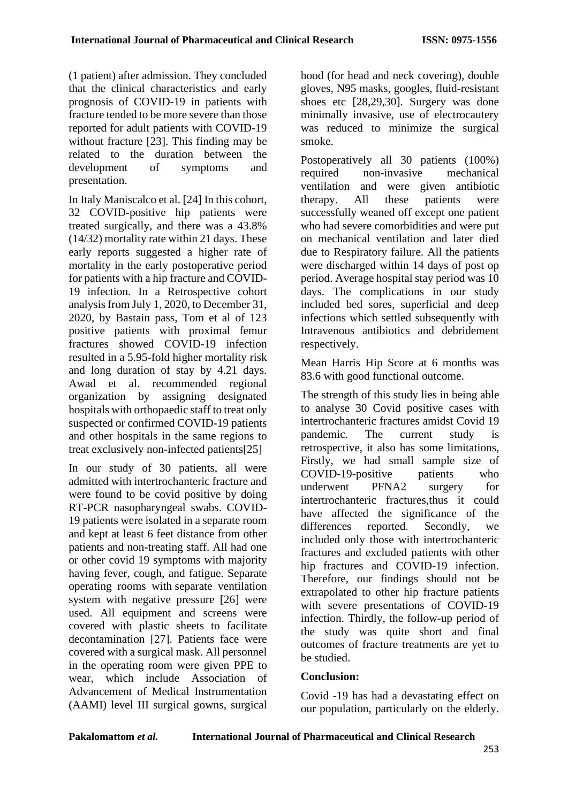(1 patient) after admission. They concluded that the clinical characteristics and early prognosis of COVID-19 in patients with fracture tended to be more severe than those reported for adult patients with COVID-19 without fracture [23]. This finding may be related to the duration between the development of symptoms and presentation.

In Italy Maniscalco et al. [24] In this cohort, 32 COVID-positive hip patients were treated surgically, and there was a 43.8% (14/32) mortality rate within 21 days. These early reports suggested a higher rate of mortality in the early postoperative period for patients with a hip fracture and COVID-19 infection. In a Retrospective cohort analysis from July 1, 2020, to December 31, 2020, by Bastain pass, Tom et al of 123 positive patients with proximal femur fractures showed COVID-19 infection resulted in a 5.95-fold higher mortality risk and long duration of stay by 4.21 days. Awad et al. recommended regional organization by assigning designated hospitals with orthopaedic staff to treat only suspected or confirmed COVID-19 patients and other hospitals in the same regions to treat exclusively non-infected patients[25]

In our study of 30 patients, all were admitted with intertrochanteric fracture and were found to be covid positive by doing RT-PCR nasopharyngeal swabs. COVID-19 patients were isolated in a separate room and kept at least 6 feet distance from other patients and non-treating staff. All had one or other covid 19 symptoms with majority having fever, cough, and fatigue. Separate operating rooms with separate ventilation system with negative pressure [26] were used. All equipment and screens were covered with plastic sheets to facilitate decontamination [27]. Patients face were covered with a surgical mask. All personnel in the operating room were given PPE to wear, which include Association of Advancement of Medical Instrumentation (AAMI) level III surgical gowns, surgical hood (for head and neck covering), double gloves, N95 masks, googles, fluid-resistant shoes etc [28,29,30]. Surgery was done minimally invasive, use of electrocautery was reduced to minimize the surgical smoke.

Postoperatively all 30 patients (100%) required non-invasive mechanical ventilation and were given antibiotic therapy. All these patients were successfully weaned off except one patient who had severe comorbidities and were put on mechanical ventilation and later died due to Respiratory failure. All the patients were discharged within 14 days of post op period. Average hospital stay period was 10 days. The complications in our study included bed sores, superficial and deep infections which settled subsequently with Intravenous antibiotics and debridement respectively.

Mean Harris Hip Score at 6 months was 83.6 with good functional outcome.

The strength of this study lies in being able to analyse 30 Covid positive cases with intertrochanteric fractures amidst Covid 19 pandemic. The current study is retrospective, it also has some limitations, Firstly, we had small sample size of COVID-19-positive patients who underwent PFNA2 surgery for intertrochanteric fractures,thus it could have affected the significance of the differences reported. Secondly, we included only those with intertrochanteric fractures and excluded patients with other hip fractures and COVID-19 infection. Therefore, our findings should not be extrapolated to other hip fracture patients with severe presentations of COVID-19 infection. Thirdly, the follow-up period of the study was quite short and final outcomes of fracture treatments are yet to be studied.

# **Conclusion:**

Covid -19 has had a devastating effect on our population, particularly on the elderly.

**Pakalomattom** *et al.* **International Journal of Pharmaceutical and Clinical Research**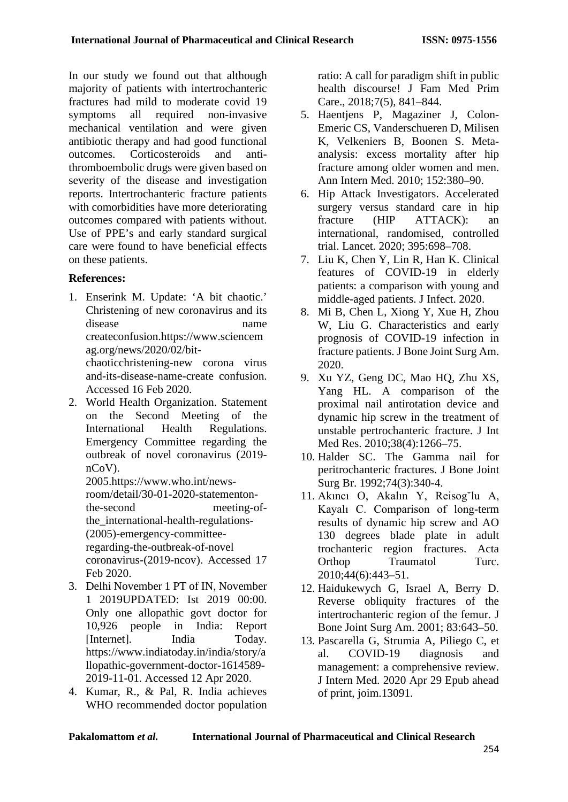In our study we found out that although majority of patients with intertrochanteric fractures had mild to moderate covid 19 symptoms all required non-invasive mechanical ventilation and were given antibiotic therapy and had good functional outcomes. Corticosteroids and antithromboembolic drugs were given based on severity of the disease and investigation reports. Intertrochanteric fracture patients with comorbidities have more deteriorating outcomes compared with patients without. Use of PPE's and early standard surgical care were found to have beneficial effects on these patients.

## **References:**

1. Enserink M. Update: 'A bit chaotic.' Christening of new coronavirus and its disease name createconfusion[.https://www.scienc](https://www.scien/)em ag.org/news/2020/02/bitchaoticchristening-new corona virus and-its-disease-name-create confusion.

Accessed 16 Feb 2020.

2. World Health Organization. Statement on the Second Meeting of the International Health Regulations. Emergency Committee regarding the outbreak of novel coronavirus (2019 nCoV).

2005[.https://www.who.int/news](https://www.who.int/news-room/detail/30-01-2020-statementon-the-second)[room/detail/30-01-2020-statementon](https://www.who.int/news-room/detail/30-01-2020-statementon-the-second)[the-second](https://www.who.int/news-room/detail/30-01-2020-statementon-the-second) meeting-ofthe\_international-health-regulations- (2005)-emergency-committeeregarding-the-outbreak-of-novel coronavirus-(2019-ncov). Accessed 17 Feb 2020.

- 3. Delhi November 1 PT of IN, November 1 2019UPDATED: Ist 2019 00:00. Only one allopathic govt doctor for 10,926 people in India: Report [Internet]. India Today. [https://www.indiatoday.in/india/story/a](https://www.indiatoday.in/india/story/allopathic-government-doctor-1614589-2019-11-01.%20Accessed%2012%20Apr%202020) [llopathic-government-doctor-1614589-](https://www.indiatoday.in/india/story/allopathic-government-doctor-1614589-2019-11-01.%20Accessed%2012%20Apr%202020) [2019-11-01. Accessed 12 Apr 2020.](https://www.indiatoday.in/india/story/allopathic-government-doctor-1614589-2019-11-01.%20Accessed%2012%20Apr%202020)
- 4. Kumar, R., & Pal, R. India achieves WHO recommended doctor population

ratio: A call for paradigm shift in public health discourse! J Fam Med Prim Care., 2018;7(5), 841–844.

- 5. Haentjens P, Magaziner J, Colon-Emeric CS, Vanderschueren D, Milisen K, Velkeniers B, Boonen S. Metaanalysis: excess mortality after hip fracture among older women and men. Ann Intern Med. 2010; 152:380–90.
- 6. Hip Attack Investigators. Accelerated surgery versus standard care in hip fracture (HIP ATTACK): an international, randomised, controlled trial. Lancet. 2020; 395:698–708.
- 7. Liu K, Chen Y, Lin R, Han K. Clinical features of COVID-19 in elderly patients: a comparison with young and middle-aged patients. J Infect. 2020.
- 8. Mi B, Chen L, Xiong Y, Xue H, Zhou W, Liu G. Characteristics and early prognosis of COVID-19 infection in fracture patients. J Bone Joint Surg Am. 2020.
- 9. Xu YZ, Geng DC, Mao HQ, Zhu XS, Yang HL. A comparison of the proximal nail antirotation device and dynamic hip screw in the treatment of unstable pertrochanteric fracture. J Int Med Res. 2010:38(4):1266-75.
- 10. Halder SC. The Gamma nail for peritrochanteric fractures. J Bone Joint Surg Br. 1992;74(3):340-4.
- 11. Akıncı O, Akalın Y, Reisog˘lu A, Kayalı C. Comparison of long-term results of dynamic hip screw and AO 130 degrees blade plate in adult trochanteric region fractures. Acta Orthop Traumatol Turc. 2010;44(6):443–51.
- 12. Haidukewych G, Israel A, Berry D. Reverse obliquity fractures of the intertrochanteric region of the femur. J Bone Joint Surg Am. 2001; 83:643–50.
- 13. Pascarella G, Strumia A, Piliego C, et al. COVID-19 diagnosis and management: a comprehensive review. J Intern Med. 2020 Apr 29 Epub ahead of print, joim.13091.

| <b>International Journal of Pharmaceutical and Clinical Research</b> |
|----------------------------------------------------------------------|
|                                                                      |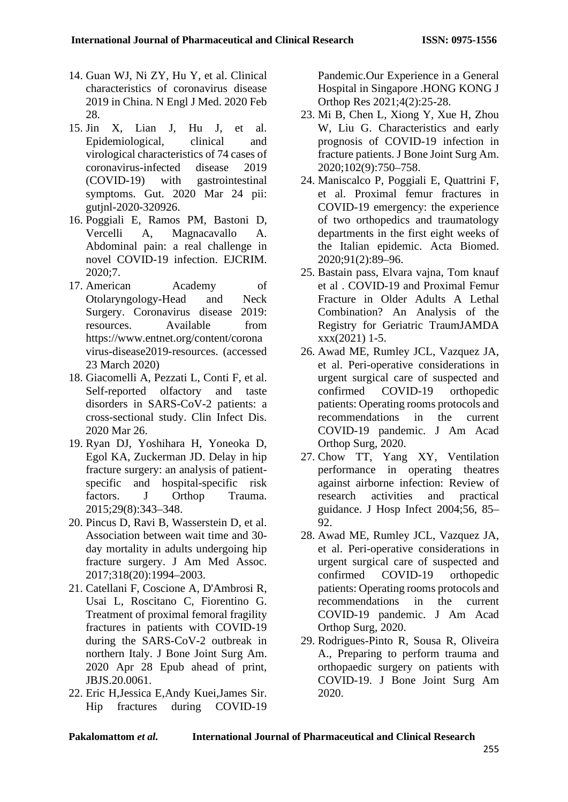- 14. Guan WJ, Ni ZY, Hu Y, et al. Clinical characteristics of coronavirus disease 2019 in China. N Engl J Med. 2020 Feb 28.
- 15. Jin X, Lian J, Hu J, et al. Epidemiological, clinical and virological characteristics of 74 cases of coronavirus-infected disease 2019 (COVID-19) with gastrointestinal symptoms. Gut. 2020 Mar 24 pii: gutjnl-2020-320926.
- 16. Poggiali E, Ramos PM, Bastoni D, Vercelli A, Magnacavallo A. Abdominal pain: a real challenge in novel COVID-19 infection. EJCRIM. 2020;7.
- 17. American Academy of Otolaryngology-Head and Neck Surgery. Coronavirus disease 2019: resources. Available from [https://www.entnet.org/content/corona](https://www.entnet.org/content/coronavirus-disease2019-resources) [virus-disease2019-resources.](https://www.entnet.org/content/coronavirus-disease2019-resources) (accessed 23 March 2020)
- 18. Giacomelli A, Pezzati L, Conti F, et al. Self-reported olfactory and taste disorders in SARS-CoV-2 patients: a cross-sectional study. Clin Infect Dis. 2020 Mar 26.
- 19. Ryan DJ, Yoshihara H, Yoneoka D, Egol KA, Zuckerman JD. Delay in hip fracture surgery: an analysis of patientspecific and hospital-specific risk factors. J Orthop Trauma. 2015;29(8):343–348.
- 20. Pincus D, Ravi B, Wasserstein D, et al. Association between wait time and 30 day mortality in adults undergoing hip fracture surgery. J Am Med Assoc. 2017;318(20):1994–2003.
- 21. Catellani F, Coscione A, D'Ambrosi R, Usai L, Roscitano C, Fiorentino G. Treatment of proximal femoral fragility fractures in patients with COVID-19 during the SARS-CoV-2 outbreak in northern Italy. J Bone Joint Surg Am. 2020 Apr 28 Epub ahead of print, JBJS.20.0061.
- 22. Eric H,Jessica E,Andy Kuei,James Sir. Hip fractures during COVID-19

Pandemic.Our Experience in a General Hospital in Singapore .HONG KONG J Orthop Res 2021;4(2):25-28.

- 23. Mi B, Chen L, Xiong Y, Xue H, Zhou W, Liu G. Characteristics and early prognosis of COVID-19 infection in fracture patients. J Bone Joint Surg Am. 2020;102(9):750–758.
- 24. Maniscalco P, Poggiali E, Quattrini F, et al. Proximal femur fractures in COVID-19 emergency: the experience of two orthopedics and traumatology departments in the first eight weeks of the Italian epidemic. Acta Biomed. 2020;91(2):89–96.
- 25. Bastain pass, Elvara vajna, Tom knauf et al . COVID-19 and Proximal Femur Fracture in Older Adults A Lethal Combination? An Analysis of the Registry for Geriatric TraumJAMDA xxx(2021) 1-5.
- 26. Awad ME, Rumley JCL, Vazquez JA, et al. Peri-operative considerations in urgent surgical care of suspected and confirmed COVID-19 orthopedic patients: Operating rooms protocols and recommendations in the current COVID-19 pandemic. J Am Acad Orthop Surg, 2020.
- 27. Chow TT, Yang XY, Ventilation performance in operating theatres against airborne infection: Review of research activities and practical guidance. J Hosp Infect 2004;56, 85– 92.
- 28. Awad ME, Rumley JCL, Vazquez JA, et al. Peri-operative considerations in urgent surgical care of suspected and confirmed COVID-19 orthopedic patients: Operating rooms protocols and recommendations in the current COVID-19 pandemic. J Am Acad Orthop Surg, 2020.
- 29. Rodrigues-Pinto R, Sousa R, Oliveira A., Preparing to perform trauma and orthopaedic surgery on patients with COVID-19. J Bone Joint Surg Am 2020.